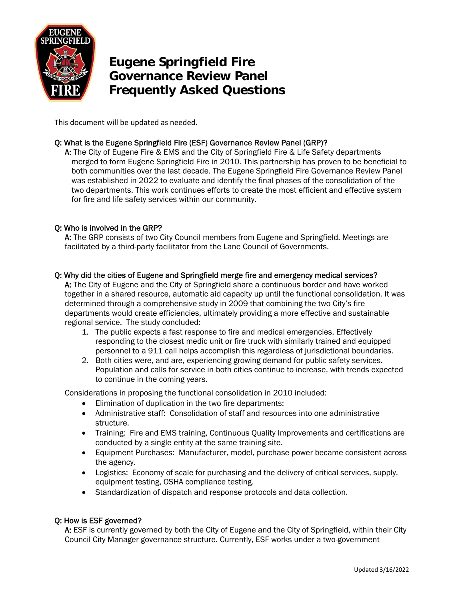

# **Eugene Springfield Fire Governance Review Panel Frequently Asked Questions**

This document will be updated as needed.

# Q: What is the Eugene Springfield Fire (ESF) Governance Review Panel (GRP)?

A: The City of Eugene Fire & EMS and the City of Springfield Fire & Life Safety departments merged to form Eugene Springfield Fire in 2010. This partnership has proven to be beneficial to both communities over the last decade. The Eugene Springfield Fire Governance Review Panel was established in 2022 to evaluate and identify the final phases of the consolidation of the two departments. This work continues efforts to create the most efficient and effective system for fire and life safety services within our community.

## Q: Who is involved in the GRP?

A: The GRP consists of two City Council members from Eugene and Springfield. Meetings are facilitated by a third-party facilitator from the Lane Council of Governments.

## Q: Why did the cities of Eugene and Springfield merge fire and emergency medical services?

A: The City of Eugene and the City of Springfield share a continuous border and have worked together in a shared resource, automatic aid capacity up until the functional consolidation. It was determined through a comprehensive study in 2009 that combining the two City's fire departments would create efficiencies, ultimately providing a more effective and sustainable regional service. The study concluded:

- 1. The public expects a fast response to fire and medical emergencies. Effectively responding to the closest medic unit or fire truck with similarly trained and equipped personnel to a 911 call helps accomplish this regardless of jurisdictional boundaries.
- 2. Both cities were, and are, experiencing growing demand for public safety services. Population and calls for service in both cities continue to increase, with trends expected to continue in the coming years.

Considerations in proposing the functional consolidation in 2010 included:

- Elimination of duplication in the two fire departments:
- Administrative staff: Consolidation of staff and resources into one administrative structure.
- Training: Fire and EMS training, Continuous Quality Improvements and certifications are conducted by a single entity at the same training site.
- Equipment Purchases: Manufacturer, model, purchase power became consistent across the agency.
- Logistics: Economy of scale for purchasing and the delivery of critical services, supply, equipment testing, OSHA compliance testing.
- Standardization of dispatch and response protocols and data collection.

## Q: How is ESF governed?

A: ESF is currently governed by both the City of Eugene and the City of Springfield, within their City Council City Manager governance structure. Currently, ESF works under a two-government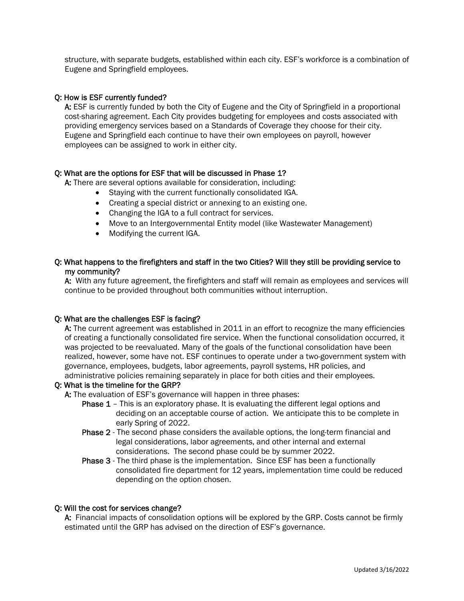structure, with separate budgets, established within each city. ESF's workforce is a combination of Eugene and Springfield employees.

#### Q: How is ESF currently funded?

A: ESF is currently funded by both the City of Eugene and the City of Springfield in a proportional cost-sharing agreement. Each City provides budgeting for employees and costs associated with providing emergency services based on a Standards of Coverage they choose for their city. Eugene and Springfield each continue to have their own employees on payroll, however employees can be assigned to work in either city.

#### Q: What are the options for ESF that will be discussed in Phase 1?

A: There are several options available for consideration, including:

- Staying with the current functionally consolidated IGA.
- Creating a special district or annexing to an existing one.
- Changing the IGA to a full contract for services.
- Move to an Intergovernmental Entity model (like Wastewater Management)
- Modifying the current IGA.

## Q: What happens to the firefighters and staff in the two Cities? Will they still be providing service to my community?

A: With any future agreement, the firefighters and staff will remain as employees and services will continue to be provided throughout both communities without interruption.

#### Q: What are the challenges ESF is facing?

A: The current agreement was established in 2011 in an effort to recognize the many efficiencies of creating a functionally consolidated fire service. When the functional consolidation occurred, it was projected to be reevaluated. Many of the goals of the functional consolidation have been realized, however, some have not. ESF continues to operate under a two-government system with governance, employees, budgets, labor agreements, payroll systems, HR policies, and administrative policies remaining separately in place for both cities and their employees.

#### Q: What is the timeline for the GRP?

A: The evaluation of ESF's governance will happen in three phases:

- Phase 1 This is an exploratory phase. It is evaluating the different legal options and deciding on an acceptable course of action. We anticipate this to be complete in early Spring of 2022.
- Phase 2 The second phase considers the available options, the long-term financial and legal considerations, labor agreements, and other internal and external considerations. The second phase could be by summer 2022.
- Phase 3 The third phase is the implementation. Since ESF has been a functionally consolidated fire department for 12 years, implementation time could be reduced depending on the option chosen.

#### Q: Will the cost for services change?

A: Financial impacts of consolidation options will be explored by the GRP. Costs cannot be firmly estimated until the GRP has advised on the direction of ESF's governance.